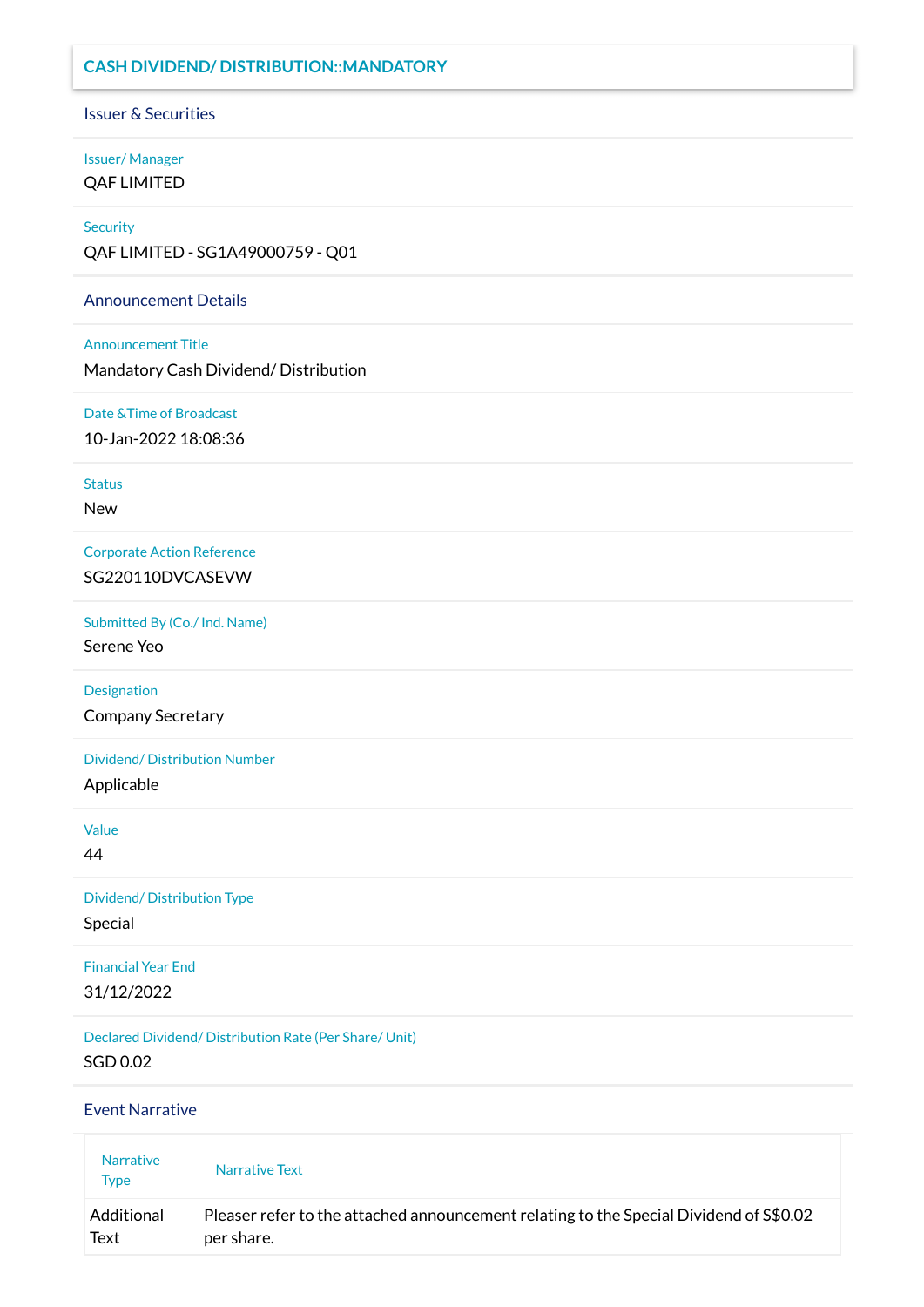## **CASH DIVIDEND/ DISTRIBUTION::MANDATORY**

Issuer & Securities

### Issuer/ Manager QAF LIMITED

#### **Security**

QAF LIMITED - SG1A49000759 - Q01

### Announcement Details

### Announcement Title

Mandatory Cash Dividend/ Distribution

## Date &Time of Broadcast

10-Jan-2022 18:08:36

Status

New

Corporate Action Reference SG220110DVCASEVW

Submitted By (Co./ Ind. Name)

Serene Yeo

Designation

Company Secretary

Dividend/ Distribution Number

Applicable

Value

44

Dividend/ Distribution Type Special

Financial Year End 31/12/2022

Declared Dividend/ Distribution Rate (Per Share/ Unit) SGD 0.02

Event Narrative

| <b>Narrative</b><br><b>Type</b> | Narrative Text                                                                         |
|---------------------------------|----------------------------------------------------------------------------------------|
| Additional                      | Pleaser refer to the attached announcement relating to the Special Dividend of S\$0.02 |
| Text                            | per share.                                                                             |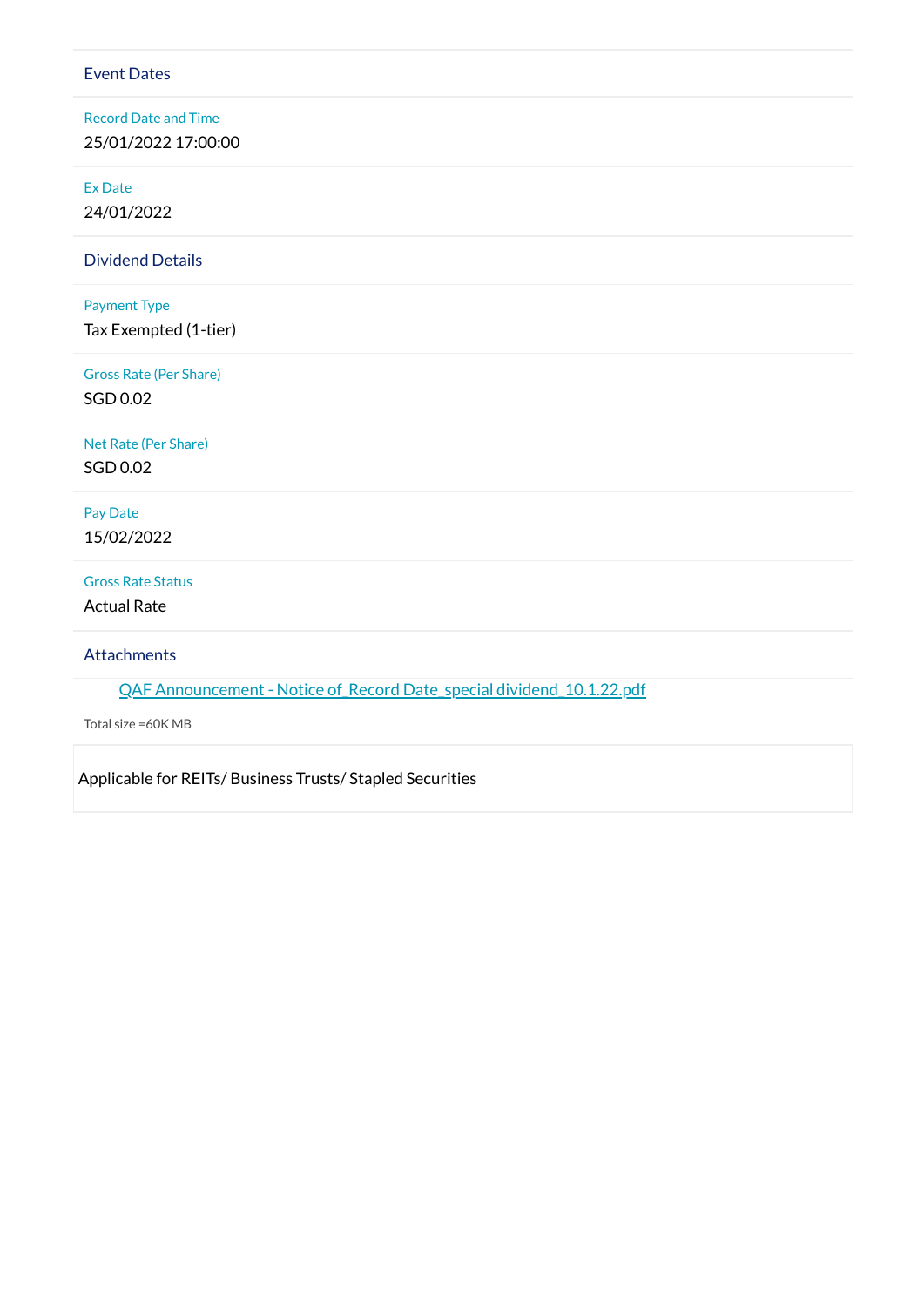#### Event Dates

Record Date and Time 25/01/2022 17:00:00

Ex Date

24/01/2022

Dividend Details

#### Payment Type

Tax Exempted (1-tier)

Gross Rate (Per Share) SGD 0.02

Net Rate (Per Share) SGD 0.02

Pay Date 15/02/2022

#### Gross Rate Status

Actual Rate

**Attachments** 

QAF Announcement - Notice of Record Date\_special [dividend\\_10.1.22.pdf](https://links.sgx.com/1.0.0/corporate-announcements/VTBA853773JH94KK/697136_QAF%20Announcement%20-%20Notice%20of_Record%20Date_special%20dividend_10.1.22.pdf)

Total size =60K MB

Applicable for REITs/ Business Trusts/ Stapled Securities